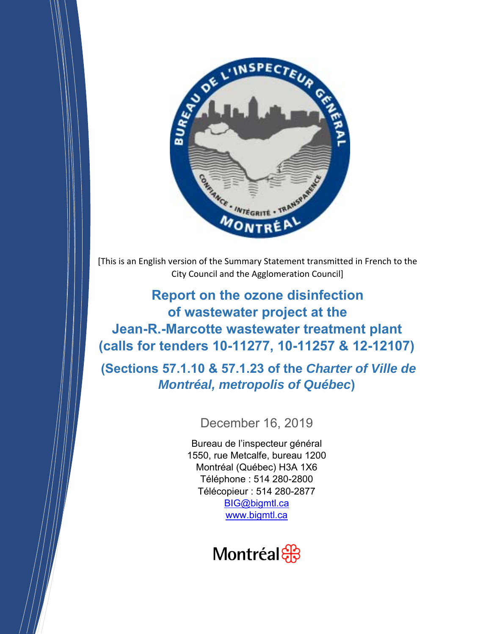

[This is an English version of the Summary Statement transmitted in French to the City Council and the Agglomeration Council]

# **Report on the ozone disinfection of wastewater project at the Jean-R.-Marcotte wastewater treatment plant (calls for tenders 10-11277, 10-11257 & 12-12107)**

 **(Sections 57.1.10 & 57.1.23 of the** *Charter of Ville de Montréal, metropolis of Québec***)** 

## December 16, 2019

Bureau de l'inspecteur général 1550, rue Metcalfe, bureau 1200 Montréal (Québec) H3A 1X6 Téléphone : 514 280-2800 Télécopieur : 514 280-2877 BIG@bigmtl.ca www.bigmtl.ca

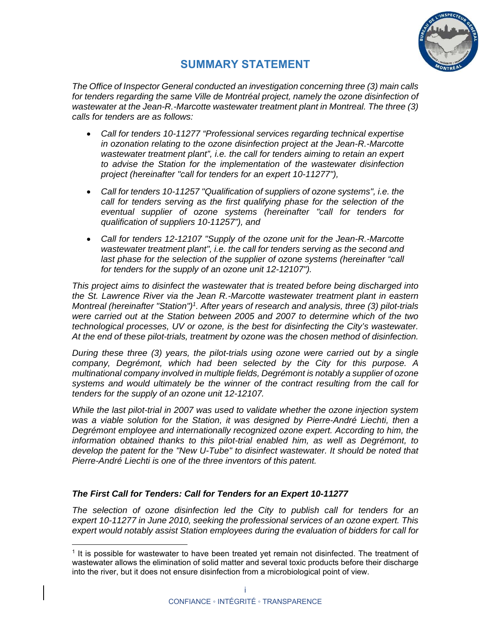

### **SUMMARY STATEMENT**

*The Office of Inspector General conducted an investigation concerning three (3) main calls*  for tenders regarding the same Ville de Montréal project, namely the ozone disinfection of *wastewater at the Jean-R.-Marcotte wastewater treatment plant in Montreal. The three (3) calls for tenders are as follows:* 

- *Call for tenders 10-11277 "Professional services regarding technical expertise in ozonation relating to the ozone disinfection project at the Jean-R.-Marcotte wastewater treatment plant", i.e. the call for tenders aiming to retain an expert to advise the Station for the implementation of the wastewater disinfection project (hereinafter "call for tenders for an expert 10-11277"),*
- *Call for tenders 10-11257 "Qualification of suppliers of ozone systems", i.e. the call for tenders serving as the first qualifying phase for the selection of the eventual supplier of ozone systems (hereinafter "call for tenders for qualification of suppliers 10-11257"), and*
- *Call for tenders 12-12107 "Supply of the ozone unit for the Jean-R.-Marcotte wastewater treatment plant", i.e. the call for tenders serving as the second and*  last phase for the selection of the supplier of ozone systems (hereinafter "call *for tenders for the supply of an ozone unit 12-12107").*

*This project aims to disinfect the wastewater that is treated before being discharged into the St. Lawrence River via the Jean R.-Marcotte wastewater treatment plant in eastern Montreal (hereinafter "Station")1. After years of research and analysis, three (3) pilot-trials were carried out at the Station between 2005 and 2007 to determine which of the two technological processes, UV or ozone, is the best for disinfecting the City's wastewater. At the end of these pilot-trials, treatment by ozone was the chosen method of disinfection.* 

*During these three (3) years, the pilot-trials using ozone were carried out by a single company, Degrémont, which had been selected by the City for this purpose. A multinational company involved in multiple fields, Degrémont is notably a supplier of ozone systems and would ultimately be the winner of the contract resulting from the call for tenders for the supply of an ozone unit 12-12107.* 

*While the last pilot-trial in 2007 was used to validate whether the ozone injection system*  was a viable solution for the Station, it was designed by Pierre-André Liechti, then a *Degrémont employee and internationally recognized ozone expert. According to him, the information obtained thanks to this pilot-trial enabled him, as well as Degrémont, to develop the patent for the "New U-Tube" to disinfect wastewater. It should be noted that Pierre-André Liechti is one of the three inventors of this patent.* 

#### *The First Call for Tenders: Call for Tenders for an Expert 10-11277*

*The selection of ozone disinfection led the City to publish call for tenders for an expert 10-11277 in June 2010, seeking the professional services of an ozone expert. This expert would notably assist Station employees during the evaluation of bidders for call for* 

<sup>1</sup> It is possible for wastewater to have been treated yet remain not disinfected. The treatment of wastewater allows the elimination of solid matter and several toxic products before their discharge into the river, but it does not ensure disinfection from a microbiological point of view.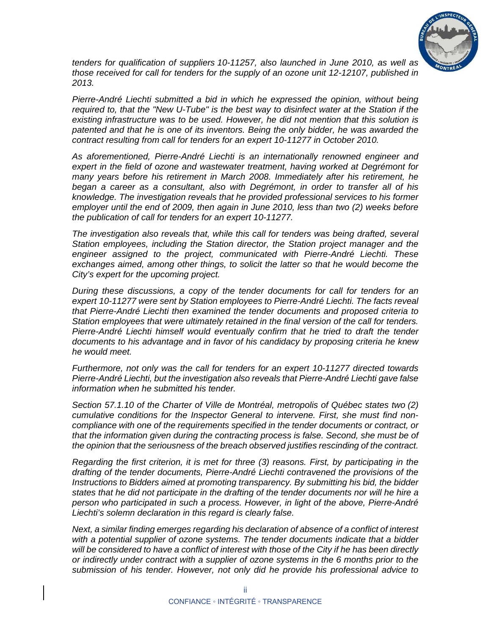

*tenders for qualification of suppliers 10-11257, also launched in June 2010, as well as those received for call for tenders for the supply of an ozone unit 12-12107, published in 2013.* 

*Pierre-André Liechti submitted a bid in which he expressed the opinion, without being required to, that the "New U-Tube" is the best way to disinfect water at the Station if the existing infrastructure was to be used. However, he did not mention that this solution is patented and that he is one of its inventors. Being the only bidder, he was awarded the contract resulting from call for tenders for an expert 10-11277 in October 2010.* 

*As aforementioned, Pierre-André Liechti is an internationally renowned engineer and expert in the field of ozone and wastewater treatment, having worked at Degrémont for many years before his retirement in March 2008. Immediately after his retirement, he began a career as a consultant, also with Degrémont, in order to transfer all of his knowledge. The investigation reveals that he provided professional services to his former employer until the end of 2009, then again in June 2010, less than two (2) weeks before the publication of call for tenders for an expert 10-11277.* 

*The investigation also reveals that, while this call for tenders was being drafted, several Station employees, including the Station director, the Station project manager and the engineer assigned to the project, communicated with Pierre-André Liechti. These exchanges aimed, among other things, to solicit the latter so that he would become the City's expert for the upcoming project.* 

*During these discussions, a copy of the tender documents for call for tenders for an expert 10-11277 were sent by Station employees to Pierre-André Liechti. The facts reveal that Pierre-André Liechti then examined the tender documents and proposed criteria to Station employees that were ultimately retained in the final version of the call for tenders. Pierre-André Liechti himself would eventually confirm that he tried to draft the tender documents to his advantage and in favor of his candidacy by proposing criteria he knew he would meet.* 

*Furthermore, not only was the call for tenders for an expert 10-11277 directed towards Pierre-André Liechti, but the investigation also reveals that Pierre-André Liechti gave false information when he submitted his tender.* 

*Section 57.1.10 of the Charter of Ville de Montréal, metropolis of Québec states two (2) cumulative conditions for the Inspector General to intervene. First, she must find noncompliance with one of the requirements specified in the tender documents or contract, or that the information given during the contracting process is false. Second, she must be of the opinion that the seriousness of the breach observed justifies rescinding of the contract.* 

*Regarding the first criterion, it is met for three (3) reasons. First, by participating in the drafting of the tender documents, Pierre-André Liechti contravened the provisions of the Instructions to Bidders aimed at promoting transparency. By submitting his bid, the bidder states that he did not participate in the drafting of the tender documents nor will he hire a person who participated in such a process. However, in light of the above, Pierre-André Liechti's solemn declaration in this regard is clearly false.* 

*Next, a similar finding emerges regarding his declaration of absence of a conflict of interest with a potential supplier of ozone systems. The tender documents indicate that a bidder will be considered to have a conflict of interest with those of the City if he has been directly or indirectly under contract with a supplier of ozone systems in the 6 months prior to the submission of his tender. However, not only did he provide his professional advice to*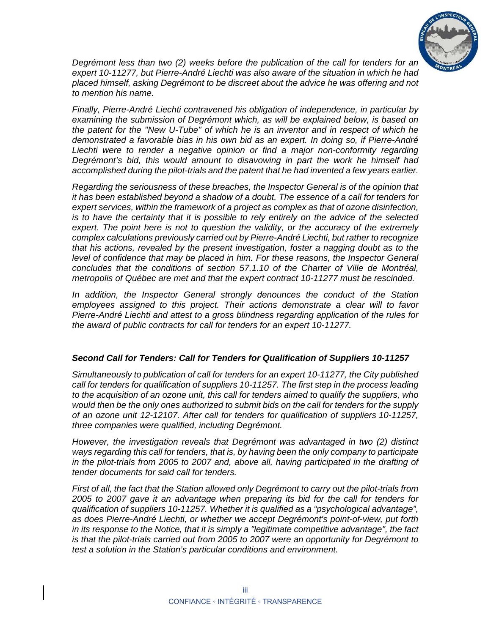

*Degrémont less than two (2) weeks before the publication of the call for tenders for an expert 10-11277, but Pierre-André Liechti was also aware of the situation in which he had placed himself, asking Degrémont to be discreet about the advice he was offering and not to mention his name.* 

*Finally, Pierre-André Liechti contravened his obligation of independence, in particular by examining the submission of Degrémont which, as will be explained below, is based on the patent for the "New U-Tube" of which he is an inventor and in respect of which he demonstrated a favorable bias in his own bid as an expert. In doing so, if Pierre-André Liechti were to render a negative opinion or find a major non-conformity regarding Degrémont's bid, this would amount to disavowing in part the work he himself had accomplished during the pilot-trials and the patent that he had invented a few years earlier.* 

*Regarding the seriousness of these breaches, the Inspector General is of the opinion that it has been established beyond a shadow of a doubt. The essence of a call for tenders for expert services, within the framework of a project as complex as that of ozone disinfection, is to have the certainty that it is possible to rely entirely on the advice of the selected expert. The point here is not to question the validity, or the accuracy of the extremely complex calculations previously carried out by Pierre-André Liechti, but rather to recognize that his actions, revealed by the present investigation, foster a nagging doubt as to the level of confidence that may be placed in him. For these reasons, the Inspector General concludes that the conditions of section 57.1.10 of the Charter of Ville de Montréal, metropolis of Québec are met and that the expert contract 10-11277 must be rescinded.* 

*In addition, the Inspector General strongly denounces the conduct of the Station*  employees assigned to this project. Their actions demonstrate a clear will to favor *Pierre-André Liechti and attest to a gross blindness regarding application of the rules for the award of public contracts for call for tenders for an expert 10-11277.* 

#### *Second Call for Tenders: Call for Tenders for Qualification of Suppliers 10-11257*

*Simultaneously to publication of call for tenders for an expert 10-11277, the City published call for tenders for qualification of suppliers 10-11257. The first step in the process leading to the acquisition of an ozone unit, this call for tenders aimed to qualify the suppliers, who would then be the only ones authorized to submit bids on the call for tenders for the supply of an ozone unit 12-12107. After call for tenders for qualification of suppliers 10-11257, three companies were qualified, including Degrémont.* 

*However, the investigation reveals that Degrémont was advantaged in two (2) distinct ways regarding this call for tenders, that is, by having been the only company to participate in the pilot-trials from 2005 to 2007 and, above all, having participated in the drafting of tender documents for said call for tenders.* 

*First of all, the fact that the Station allowed only Degrémont to carry out the pilot-trials from 2005 to 2007 gave it an advantage when preparing its bid for the call for tenders for qualification of suppliers 10-11257. Whether it is qualified as a "psychological advantage", as does Pierre-André Liechti, or whether we accept Degrémont's point-of-view, put forth in its response to the Notice, that it is simply a "legitimate competitive advantage", the fact is that the pilot-trials carried out from 2005 to 2007 were an opportunity for Degrémont to test a solution in the Station's particular conditions and environment.*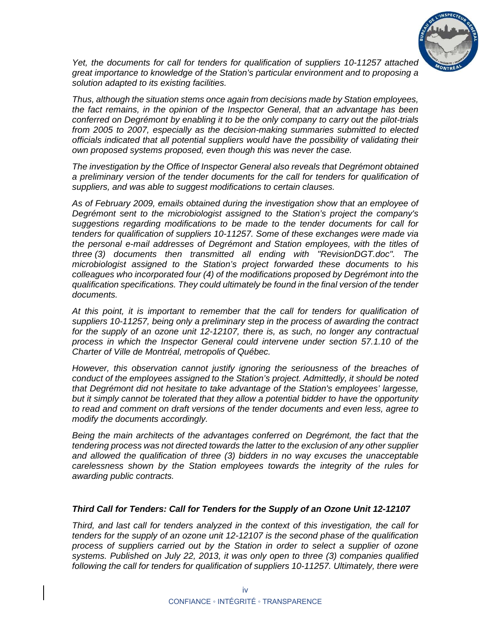

*Yet, the documents for call for tenders for qualification of suppliers 10-11257 attached great importance to knowledge of the Station's particular environment and to proposing a solution adapted to its existing facilities.* 

*Thus, although the situation stems once again from decisions made by Station employees, the fact remains, in the opinion of the Inspector General, that an advantage has been conferred on Degrémont by enabling it to be the only company to carry out the pilot-trials from 2005 to 2007, especially as the decision-making summaries submitted to elected officials indicated that all potential suppliers would have the possibility of validating their own proposed systems proposed, even though this was never the case.* 

*The investigation by the Office of Inspector General also reveals that Degrémont obtained*  a preliminary version of the tender documents for the call for tenders for qualification of *suppliers, and was able to suggest modifications to certain clauses.* 

*As of February 2009, emails obtained during the investigation show that an employee of Degrémont sent to the microbiologist assigned to the Station's project the company's suggestions regarding modifications to be made to the tender documents for call for tenders for qualification of suppliers 10-11257. Some of these exchanges were made via the personal e-mail addresses of Degrémont and Station employees, with the titles of three (3) documents then transmitted all ending with "RevisionDGT.doc". The microbiologist assigned to the Station's project forwarded these documents to his colleagues who incorporated four (4) of the modifications proposed by Degrémont into the qualification specifications. They could ultimately be found in the final version of the tender documents.* 

*At this point, it is important to remember that the call for tenders for qualification of suppliers 10-11257, being only a preliminary step in the process of awarding the contract for the supply of an ozone unit 12-12107, there is, as such, no longer any contractual process in which the Inspector General could intervene under section 57.1.10 of the Charter of Ville de Montréal, metropolis of Québec.* 

*However, this observation cannot justify ignoring the seriousness of the breaches of conduct of the employees assigned to the Station's project. Admittedly, it should be noted that Degrémont did not hesitate to take advantage of the Station's employees' largesse, but it simply cannot be tolerated that they allow a potential bidder to have the opportunity to read and comment on draft versions of the tender documents and even less, agree to modify the documents accordingly.* 

*Being the main architects of the advantages conferred on Degrémont, the fact that the tendering process was not directed towards the latter to the exclusion of any other supplier and allowed the qualification of three (3) bidders in no way excuses the unacceptable carelessness shown by the Station employees towards the integrity of the rules for awarding public contracts.* 

#### *Third Call for Tenders: Call for Tenders for the Supply of an Ozone Unit 12-12107*

*Third, and last call for tenders analyzed in the context of this investigation, the call for tenders for the supply of an ozone unit 12-12107 is the second phase of the qualification process of suppliers carried out by the Station in order to select a supplier of ozone systems. Published on July 22, 2013, it was only open to three (3) companies qualified following the call for tenders for qualification of suppliers 10-11257. Ultimately, there were*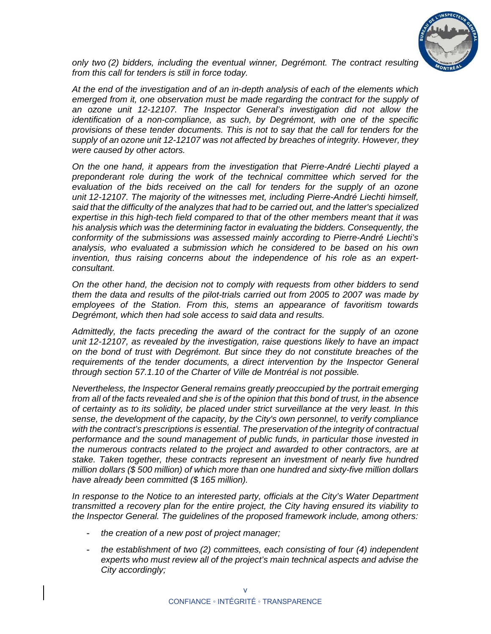

*only two (2) bidders, including the eventual winner, Degrémont. The contract resulting from this call for tenders is still in force today.* 

*At the end of the investigation and of an in-depth analysis of each of the elements which emerged from it, one observation must be made regarding the contract for the supply of an ozone unit 12-12107. The Inspector General's investigation did not allow the identification of a non-compliance, as such, by Degrémont, with one of the specific provisions of these tender documents. This is not to say that the call for tenders for the supply of an ozone unit 12-12107 was not affected by breaches of integrity. However, they were caused by other actors.* 

*On the one hand, it appears from the investigation that Pierre-André Liechti played a preponderant role during the work of the technical committee which served for the evaluation of the bids received on the call for tenders for the supply of an ozone unit 12-12107. The majority of the witnesses met, including Pierre-André Liechti himself, said that the difficulty of the analyzes that had to be carried out, and the latter's specialized expertise in this high-tech field compared to that of the other members meant that it was his analysis which was the determining factor in evaluating the bidders. Consequently, the conformity of the submissions was assessed mainly according to Pierre-André Liechti's analysis, who evaluated a submission which he considered to be based on his own invention, thus raising concerns about the independence of his role as an expertconsultant.* 

*On the other hand, the decision not to comply with requests from other bidders to send them the data and results of the pilot-trials carried out from 2005 to 2007 was made by employees of the Station. From this, stems an appearance of favoritism towards Degrémont, which then had sole access to said data and results.* 

*Admittedly, the facts preceding the award of the contract for the supply of an ozone unit 12-12107, as revealed by the investigation, raise questions likely to have an impact on the bond of trust with Degrémont. But since they do not constitute breaches of the requirements of the tender documents, a direct intervention by the Inspector General through section 57.1.10 of the Charter of Ville de Montréal is not possible.* 

*Nevertheless, the Inspector General remains greatly preoccupied by the portrait emerging from all of the facts revealed and she is of the opinion that this bond of trust, in the absence of certainty as to its solidity, be placed under strict surveillance at the very least. In this sense, the development of the capacity, by the City's own personnel, to verify compliance with the contract's prescriptions is essential. The preservation of the integrity of contractual performance and the sound management of public funds, in particular those invested in the numerous contracts related to the project and awarded to other contractors, are at stake. Taken together, these contracts represent an investment of nearly five hundred million dollars (\$ 500 million) of which more than one hundred and sixty-five million dollars have already been committed (\$ 165 million).* 

*In response to the Notice to an interested party, officials at the City's Water Department transmitted a recovery plan for the entire project, the City having ensured its viability to the Inspector General. The guidelines of the proposed framework include, among others:* 

- *the creation of a new post of project manager;*
- *the establishment of two (2) committees, each consisting of four (4) independent experts who must review all of the project's main technical aspects and advise the City accordingly;*